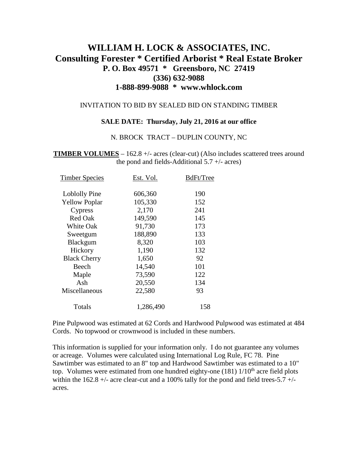# **WILLIAM H. LOCK & ASSOCIATES, INC. Consulting Forester \* Certified Arborist \* Real Estate Broker P. O. Box 49571 \* Greensboro, NC 27419 (336) 632-9088 1-888-899-9088 \* www.whlock.com**

#### INVITATION TO BID BY SEALED BID ON STANDING TIMBER

#### **SALE DATE: Thursday, July 21, 2016 at our office**

#### N. BROCK TRACT – DUPLIN COUNTY, NC

**TIMBER VOLUMES** – 162.8 +/- acres (clear-cut) (Also includes scattered trees around the pond and fields-Additional  $5.7 +/-$  acres)

| <b>Timber Species</b> | Est. Vol. | BdFt/Tree |
|-----------------------|-----------|-----------|
| Loblolly Pine         | 606,360   | 190       |
| <b>Yellow Poplar</b>  | 105,330   | 152       |
| Cypress               | 2,170     | 241       |
| <b>Red Oak</b>        | 149,590   | 145       |
| <b>White Oak</b>      | 91,730    | 173       |
| Sweetgum              | 188,890   | 133       |
| Blackgum              | 8,320     | 103       |
| Hickory               | 1,190     | 132       |
| <b>Black Cherry</b>   | 1,650     | 92        |
| Beech                 | 14,540    | 101       |
| Maple                 | 73,590    | 122       |
| Ash                   | 20,550    | 134       |
| Miscellaneous         | 22,580    | 93        |
| Totals                | 1,286,490 | 158       |
|                       |           |           |

Pine Pulpwood was estimated at 62 Cords and Hardwood Pulpwood was estimated at 484 Cords. No topwood or crownwood is included in these numbers.

This information is supplied for your information only. I do not guarantee any volumes or acreage. Volumes were calculated using International Log Rule, FC 78. Pine Sawtimber was estimated to an 8" top and Hardwood Sawtimber was estimated to a 10" top. Volumes were estimated from one hundred eighty-one  $(181)$   $1/10<sup>th</sup>$  acre field plots within the  $162.8 +/-$  acre clear-cut and a 100% tally for the pond and field trees-5.7  $+/$ acres.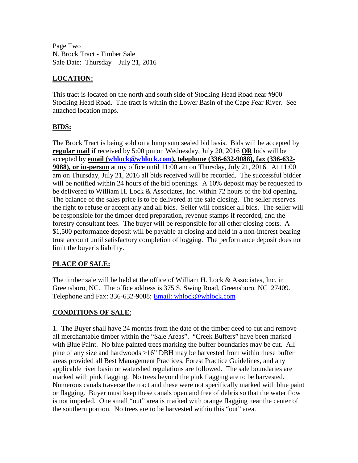Page Two N. Brock Tract - Timber Sale Sale Date: Thursday – July 21, 2016

## **LOCATION:**

This tract is located on the north and south side of Stocking Head Road near #900 Stocking Head Road. The tract is within the Lower Basin of the Cape Fear River. See attached location maps.

#### **BIDS:**

The Brock Tract is being sold on a lump sum sealed bid basis. Bids will be accepted by **regular mail** if received by 5:00 pm on Wednesday, July 20, 2016 **OR** bids will be accepted by **email [\(whlock@whlock.com\)](mailto:whlock@whlock.com), telephone (336-632-9088), fax (336-632- 9088), or in-person** at my office until 11:00 am on Thursday, July 21, 2016. At 11:00 am on Thursday, July 21, 2016 all bids received will be recorded. The successful bidder will be notified within 24 hours of the bid openings. A 10% deposit may be requested to be delivered to William H. Lock & Associates, Inc. within 72 hours of the bid opening. The balance of the sales price is to be delivered at the sale closing. The seller reserves the right to refuse or accept any and all bids. Seller will consider all bids. The seller will be responsible for the timber deed preparation, revenue stamps if recorded, and the forestry consultant fees. The buyer will be responsible for all other closing costs. A \$1,500 performance deposit will be payable at closing and held in a non-interest bearing trust account until satisfactory completion of logging. The performance deposit does not limit the buyer's liability.

## **PLACE OF SALE:**

The timber sale will be held at the office of William H. Lock & Associates, Inc. in Greensboro, NC. The office address is 375 S. Swing Road, Greensboro, NC 27409. Telephone and Fax: 336-632-9088; [Email: whlock@whlock.com](mailto:Email:%20whlock@whlock.com) 

## **CONDITIONS OF SALE**:

1. The Buyer shall have 24 months from the date of the timber deed to cut and remove all merchantable timber within the "Sale Areas". "Creek Buffers" have been marked with Blue Paint. No blue painted trees marking the buffer boundaries may be cut. All pine of any size and hardwoods >16" DBH may be harvested from within these buffer areas provided all Best Management Practices, Forest Practice Guidelines, and any applicable river basin or watershed regulations are followed. The sale boundaries are marked with pink flagging. No trees beyond the pink flagging are to be harvested. Numerous canals traverse the tract and these were not specifically marked with blue paint or flagging. Buyer must keep these canals open and free of debris so that the water flow is not impeded. One small "out" area is marked with orange flagging near the center of the southern portion. No trees are to be harvested within this "out" area.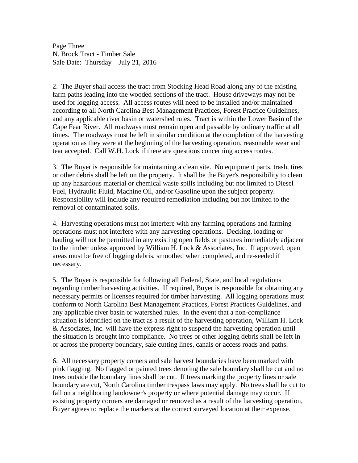Page Three N. Brock Tract - Timber Sale Sale Date: Thursday – July 21, 2016

2. The Buyer shall access the tract from Stocking Head Road along any of the existing farm paths leading into the wooded sections of the tract. House driveways may not be used for logging access. All access routes will need to be installed and/or maintained according to all North Carolina Best Management Practices, Forest Practice Guidelines, and any applicable river basin or watershed rules. Tract is within the Lower Basin of the Cape Fear River. All roadways must remain open and passable by ordinary traffic at all times. The roadways must be left in similar condition at the completion of the harvesting operation as they were at the beginning of the harvesting operation, reasonable wear and tear accepted. Call W.H. Lock if there are questions concerning access routes.

3. The Buyer is responsible for maintaining a clean site. No equipment parts, trash, tires or other debris shall be left on the property. It shall be the Buyer's responsibility to clean up any hazardous material or chemical waste spills including but not limited to Diesel Fuel, Hydraulic Fluid, Machine Oil, and/or Gasoline upon the subject property. Responsibility will include any required remediation including but not limited to the removal of contaminated soils.

4. Harvesting operations must not interfere with any farming operations and farming operations must not interfere with any harvesting operations. Decking, loading or hauling will not be permitted in any existing open fields or pastures immediately adjacent to the timber unless approved by William H. Lock & Associates, Inc. If approved, open areas must be free of logging debris, smoothed when completed, and re-seeded if necessary.

5. The Buyer is responsible for following all Federal, State, and local regulations regarding timber harvesting activities. If required, Buyer is responsible for obtaining any necessary permits or licenses required for timber harvesting. All logging operations must conform to North Carolina Best Management Practices, Forest Practices Guidelines, and any applicable river basin or watershed rules. In the event that a non-compliance situation is identified on the tract as a result of the harvesting operation, William H. Lock & Associates, Inc. will have the express right to suspend the harvesting operation until the situation is brought into compliance. No trees or other logging debris shall be left in or across the property boundary, sale cutting lines, canals or access roads and paths.

6. All necessary property corners and sale harvest boundaries have been marked with pink flagging. No flagged or painted trees denoting the sale boundary shall be cut and no trees outside the boundary lines shall be cut. If trees marking the property lines or sale boundary are cut, North Carolina timber trespass laws may apply. No trees shall be cut to fall on a neighboring landowner's property or where potential damage may occur. If existing property corners are damaged or removed as a result of the harvesting operation, Buyer agrees to replace the markers at the correct surveyed location at their expense.